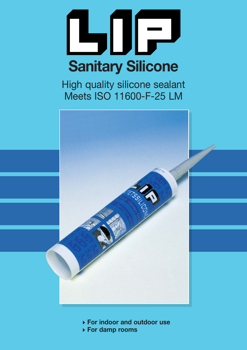

High quality silicone sealant Meets ISO 11600-F-25 LM



- **For indoor and outdoor use**
- **For damp rooms**